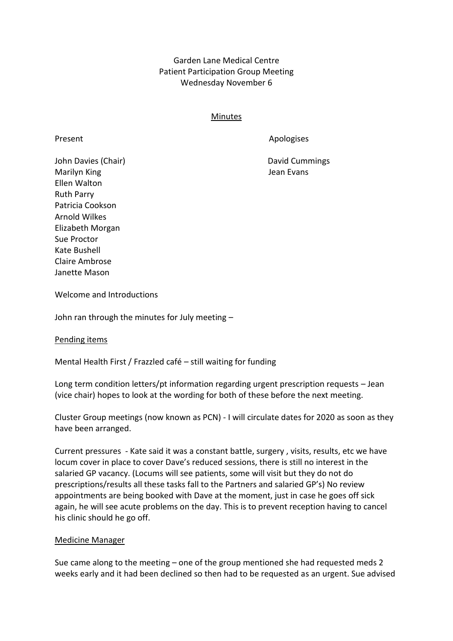Garden Lane Medical Centre Patient Participation Group Meeting Wednesday November 6

## Minutes

Present Apologises

John Davies (Chair) **David Cummings David Cummings** Marilyn King **Marilyn King Accord Contract Contract Contract Contract Contract Contract Contract Contract Contract Contract Contract Contract Contract Contract Contract Contract Contract Contract Contract Contract Contract** Ellen Walton Ruth Parry Patricia Cookson Arnold Wilkes Elizabeth Morgan Sue Proctor Kate Bushell Claire Ambrose Janette Mason

Welcome and Introductions

John ran through the minutes for July meeting –

Pending items

Mental Health First / Frazzled café – still waiting for funding

Long term condition letters/pt information regarding urgent prescription requests – Jean (vice chair) hopes to look at the wording for both of these before the next meeting.

Cluster Group meetings (now known as PCN) - I will circulate dates for 2020 as soon as they have been arranged.

Current pressures - Kate said it was a constant battle, surgery , visits, results, etc we have locum cover in place to cover Dave's reduced sessions, there is still no interest in the salaried GP vacancy. (Locums will see patients, some will visit but they do not do prescriptions/results all these tasks fall to the Partners and salaried GP's) No review appointments are being booked with Dave at the moment, just in case he goes off sick again, he will see acute problems on the day. This is to prevent reception having to cancel his clinic should he go off.

## Medicine Manager

Sue came along to the meeting – one of the group mentioned she had requested meds 2 weeks early and it had been declined so then had to be requested as an urgent. Sue advised